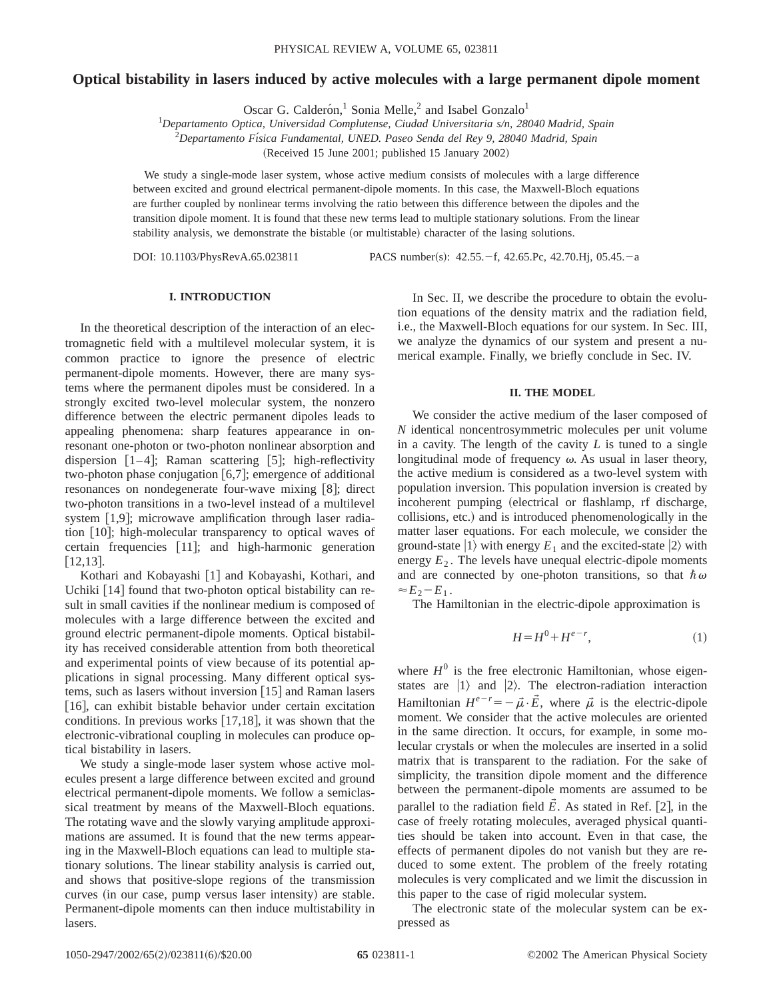# **Optical bistability in lasers induced by active molecules with a large permanent dipole moment**

Oscar G. Calderón,<sup>1</sup> Sonia Melle,<sup>2</sup> and Isabel Gonzalo<sup>1</sup>

1 *Departamento Optica, Universidad Complutense, Ciudad Universitaria s/n, 28040 Madrid, Spain*

2 *Departamento Fı´sica Fundamental, UNED. Paseo Senda del Rey 9, 28040 Madrid, Spain*

(Received 15 June 2001; published 15 January 2002)

We study a single-mode laser system, whose active medium consists of molecules with a large difference between excited and ground electrical permanent-dipole moments. In this case, the Maxwell-Bloch equations are further coupled by nonlinear terms involving the ratio between this difference between the dipoles and the transition dipole moment. It is found that these new terms lead to multiple stationary solutions. From the linear stability analysis, we demonstrate the bistable (or multistable) character of the lasing solutions.

DOI: 10.1103/PhysRevA.65.023811 PACS number(s): 42.55. - f, 42.65.Pc, 42.70.Hj, 05.45. - a

## **I. INTRODUCTION**

In the theoretical description of the interaction of an electromagnetic field with a multilevel molecular system, it is common practice to ignore the presence of electric permanent-dipole moments. However, there are many systems where the permanent dipoles must be considered. In a strongly excited two-level molecular system, the nonzero difference between the electric permanent dipoles leads to appealing phenomena: sharp features appearance in onresonant one-photon or two-photon nonlinear absorption and dispersion  $[1-4]$ ; Raman scattering [5]; high-reflectivity two-photon phase conjugation  $[6,7]$ ; emergence of additional resonances on nondegenerate four-wave mixing  $[8]$ ; direct two-photon transitions in a two-level instead of a multilevel system  $[1,9]$ ; microwave amplification through laser radiation [10]; high-molecular transparency to optical waves of certain frequencies [11]; and high-harmonic generation  $[12,13]$ .

Kothari and Kobayashi [1] and Kobayashi, Kothari, and Uchiki  $\lceil 14 \rceil$  found that two-photon optical bistability can result in small cavities if the nonlinear medium is composed of molecules with a large difference between the excited and ground electric permanent-dipole moments. Optical bistability has received considerable attention from both theoretical and experimental points of view because of its potential applications in signal processing. Many different optical systems, such as lasers without inversion  $[15]$  and Raman lasers  $[16]$ , can exhibit bistable behavior under certain excitation conditions. In previous works  $[17,18]$ , it was shown that the electronic-vibrational coupling in molecules can produce optical bistability in lasers.

We study a single-mode laser system whose active molecules present a large difference between excited and ground electrical permanent-dipole moments. We follow a semiclassical treatment by means of the Maxwell-Bloch equations. The rotating wave and the slowly varying amplitude approximations are assumed. It is found that the new terms appearing in the Maxwell-Bloch equations can lead to multiple stationary solutions. The linear stability analysis is carried out, and shows that positive-slope regions of the transmission curves (in our case, pump versus laser intensity) are stable. Permanent-dipole moments can then induce multistability in lasers.

In Sec. II, we describe the procedure to obtain the evolution equations of the density matrix and the radiation field, i.e., the Maxwell-Bloch equations for our system. In Sec. III, we analyze the dynamics of our system and present a numerical example. Finally, we briefly conclude in Sec. IV.

### **II. THE MODEL**

We consider the active medium of the laser composed of *N* identical noncentrosymmetric molecules per unit volume in a cavity. The length of the cavity *L* is tuned to a single longitudinal mode of frequency  $\omega$ . As usual in laser theory, the active medium is considered as a two-level system with population inversion. This population inversion is created by incoherent pumping (electrical or flashlamp, rf discharge, collisions, etc.) and is introduced phenomenologically in the matter laser equations. For each molecule, we consider the ground-state  $|1\rangle$  with energy  $E_1$  and the excited-state  $|2\rangle$  with energy  $E_2$ . The levels have unequal electric-dipole moments and are connected by one-photon transitions, so that  $\hbar \omega$  $\approx E_2-E_1$ .

The Hamiltonian in the electric-dipole approximation is

$$
H = H^0 + H^{e-r},\tag{1}
$$

where  $H^0$  is the free electronic Hamiltonian, whose eigenstates are  $|1\rangle$  and  $|2\rangle$ . The electron-radiation interaction Hamiltonian  $H^{e-r} = -\vec{\mu} \cdot \vec{E}$ , where  $\vec{\mu}$  is the electric-dipole moment. We consider that the active molecules are oriented in the same direction. It occurs, for example, in some molecular crystals or when the molecules are inserted in a solid matrix that is transparent to the radiation. For the sake of simplicity, the transition dipole moment and the difference between the permanent-dipole moments are assumed to be parallel to the radiation field  $\vec{E}$ . As stated in Ref. [2], in the case of freely rotating molecules, averaged physical quantities should be taken into account. Even in that case, the effects of permanent dipoles do not vanish but they are reduced to some extent. The problem of the freely rotating molecules is very complicated and we limit the discussion in this paper to the case of rigid molecular system.

The electronic state of the molecular system can be expressed as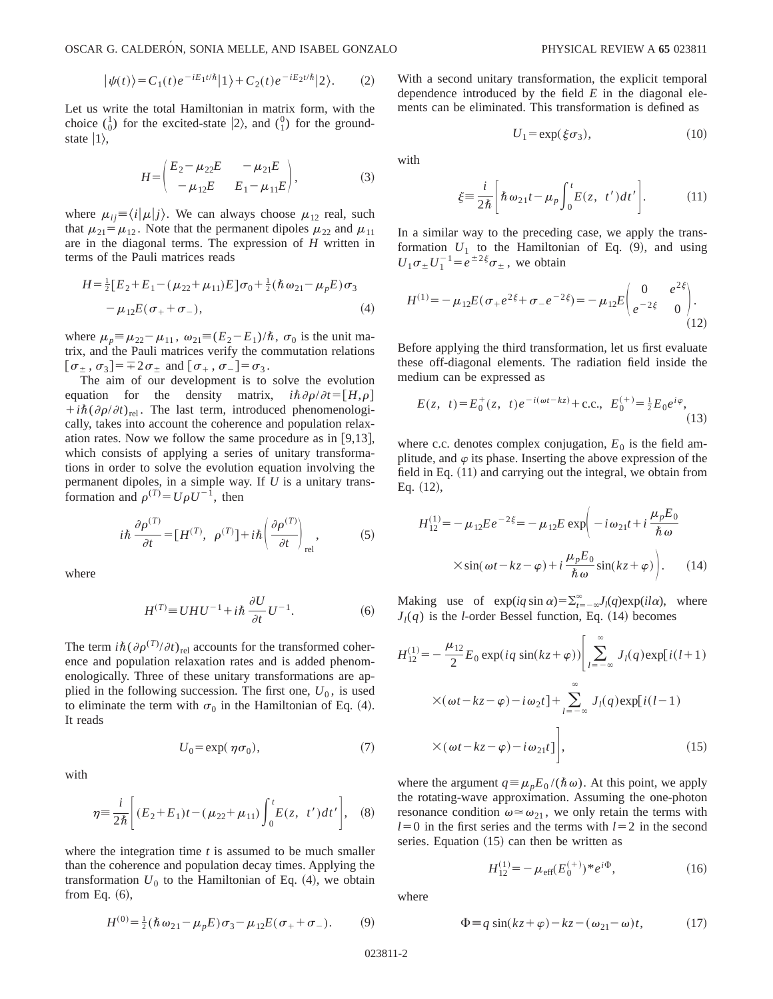OSCAR G. CALDERÓN, SONIA MELLE, AND ISABEL GONZALO PHYSICAL REVIEW A 65 023811

$$
|\psi(t)\rangle = C_1(t)e^{-iE_1t/\hbar}|1\rangle + C_2(t)e^{-iE_2t/\hbar}|2\rangle.
$$
 (2)

Let us write the total Hamiltonian in matrix form, with the choice  $\binom{1}{0}$  for the excited-state  $|2\rangle$ , and  $\binom{0}{1}$  for the groundstate  $|1\rangle$ ,

$$
H = \begin{pmatrix} E_2 - \mu_{22} E & -\mu_{21} E \\ -\mu_{12} E & E_1 - \mu_{11} E \end{pmatrix},
$$
 (3)

where  $\mu_{ij} \equiv \langle i | \mu | j \rangle$ . We can always choose  $\mu_{12}$  real, such that  $\mu_{21} = \mu_{12}$ . Note that the permanent dipoles  $\mu_{22}$  and  $\mu_{11}$ are in the diagonal terms. The expression of *H* written in terms of the Pauli matrices reads

$$
H = \frac{1}{2} [E_2 + E_1 - (\mu_{22} + \mu_{11}) E] \sigma_0 + \frac{1}{2} (\hbar \omega_{21} - \mu_p E) \sigma_3 - \mu_{12} E (\sigma_+ + \sigma_-),
$$
\n(4)

where  $\mu_p \equiv \mu_{22} - \mu_{11}$ ,  $\omega_{21} \equiv (E_2 - E_1)/\hbar$ ,  $\sigma_0$  is the unit matrix, and the Pauli matrices verify the commutation relations  $[\sigma_{\pm}, \sigma_3]=\pm 2\sigma_{\pm}$  and  $[\sigma_{+}, \sigma_{-}]=\sigma_3$ .

The aim of our development is to solve the evolution equation for the density matrix,  $i\hbar \partial \rho / \partial t = [H,\rho]$  $+i\hbar(\partial \rho/\partial t)_{rel}$ . The last term, introduced phenomenologically, takes into account the coherence and population relaxation rates. Now we follow the same procedure as in  $[9,13]$ , which consists of applying a series of unitary transformations in order to solve the evolution equation involving the permanent dipoles, in a simple way. If *U* is a unitary transformation and  $\rho^{(T)} = U \rho U^{-1}$ , then

$$
i\hbar \frac{\partial \rho^{(T)}}{\partial t} = [H^{(T)}, \ \rho^{(T)}] + i\hbar \left(\frac{\partial \rho^{(T)}}{\partial t}\right)_{\text{rel}},\tag{5}
$$

where

$$
H^{(T)} \equiv UHU^{-1} + i\hbar \frac{\partial U}{\partial t} U^{-1}.
$$
 (6)

The term  $i\hbar(\partial \rho^{(T)}/\partial t)_{rel}$  accounts for the transformed coherence and population relaxation rates and is added phenomenologically. Three of these unitary transformations are applied in the following succession. The first one,  $U_0$ , is used to eliminate the term with  $\sigma_0$  in the Hamiltonian of Eq. (4). It reads

$$
U_0 = \exp(\eta \sigma_0),\tag{7}
$$

with

$$
\eta = \frac{i}{2\hbar} \left[ (E_2 + E_1)t - (\mu_{22} + \mu_{11}) \int_0^t E(z, t') dt' \right], \quad (8)
$$

where the integration time *t* is assumed to be much smaller than the coherence and population decay times. Applying the transformation  $U_0$  to the Hamiltonian of Eq.  $(4)$ , we obtain from Eq.  $(6)$ ,

$$
H^{(0)} = \frac{1}{2} (\hbar \omega_{21} - \mu_p E) \sigma_3 - \mu_{12} E (\sigma_+ + \sigma_-). \tag{9}
$$

With a second unitary transformation, the explicit temporal dependence introduced by the field *E* in the diagonal elements can be eliminated. This transformation is defined as

$$
U_1 = \exp(\xi \sigma_3),\tag{10}
$$

with

$$
\xi \equiv \frac{i}{2\hbar} \bigg[ \hbar \omega_{21} t - \mu_p \int_0^t E(z, t') dt' \bigg]. \tag{11}
$$

In a similar way to the preceding case, we apply the transformation  $U_1$  to the Hamiltonian of Eq.  $(9)$ , and using  $U_1 \sigma_{\pm} U_1^{-1} = e^{\pm 2\xi} \sigma_{\pm}$ , we obtain

$$
H^{(1)} = -\mu_{12}E(\sigma_+e^{2\xi} + \sigma_-e^{-2\xi}) = -\mu_{12}E\begin{pmatrix} 0 & e^{2\xi} \\ e^{-2\xi} & 0 \end{pmatrix}.
$$
\n(12)

Before applying the third transformation, let us first evaluate these off-diagonal elements. The radiation field inside the medium can be expressed as

$$
E(z, t) = E_0^+(z, t)e^{-i(\omega t - kz)} + \text{c.c., } E_0^{(+)} = \frac{1}{2}E_0e^{i\varphi}, \tag{13}
$$

where c.c. denotes complex conjugation,  $E_0$  is the field amplitude, and  $\varphi$  its phase. Inserting the above expression of the field in Eq.  $(11)$  and carrying out the integral, we obtain from Eq.  $(12)$ ,

$$
H_{12}^{(1)} = -\mu_{12} E e^{-2\xi} = -\mu_{12} E \exp\left(-i\omega_{21} t + i\frac{\mu_p E_0}{\hbar \omega}\right)
$$

$$
\times \sin(\omega t - k_z - \varphi) + i\frac{\mu_p E_0}{\hbar \omega} \sin(k_z + \varphi)\Big).
$$
 (14)

Making use of  $exp(iq \sin \alpha) = \sum_{t=-\infty}^{\infty} J_l(q) exp(i l \alpha)$ , where  $J_l(q)$  is the *l*-order Bessel function, Eq. (14) becomes

$$
H_{12}^{(1)} = -\frac{\mu_{12}}{2} E_0 \exp(iq \sin(kz+\varphi)) \Biggl[ \sum_{l=-\infty}^{\infty} J_l(q) \exp[i(l+1) \times (\omega t - kz - \varphi) - i\omega_2 t] + \sum_{l=-\infty}^{\infty} J_l(q) \exp[i(l-1) \times (\omega t - kz - \varphi) - i\omega_{21} t] \Biggr],
$$
 (15)

where the argument  $q = \mu_p E_0 /(\hbar \omega)$ . At this point, we apply the rotating-wave approximation. Assuming the one-photon resonance condition  $\omega \approx \omega_{21}$ , we only retain the terms with  $l=0$  in the first series and the terms with  $l=2$  in the second series. Equation  $(15)$  can then be written as

$$
H_{12}^{(1)} = -\mu_{\text{eff}}(E_0^{(+)})^* e^{i\Phi},\tag{16}
$$

where

$$
\Phi = q \sin(kz + \varphi) - kz - (\omega_{21} - \omega)t, \qquad (17)
$$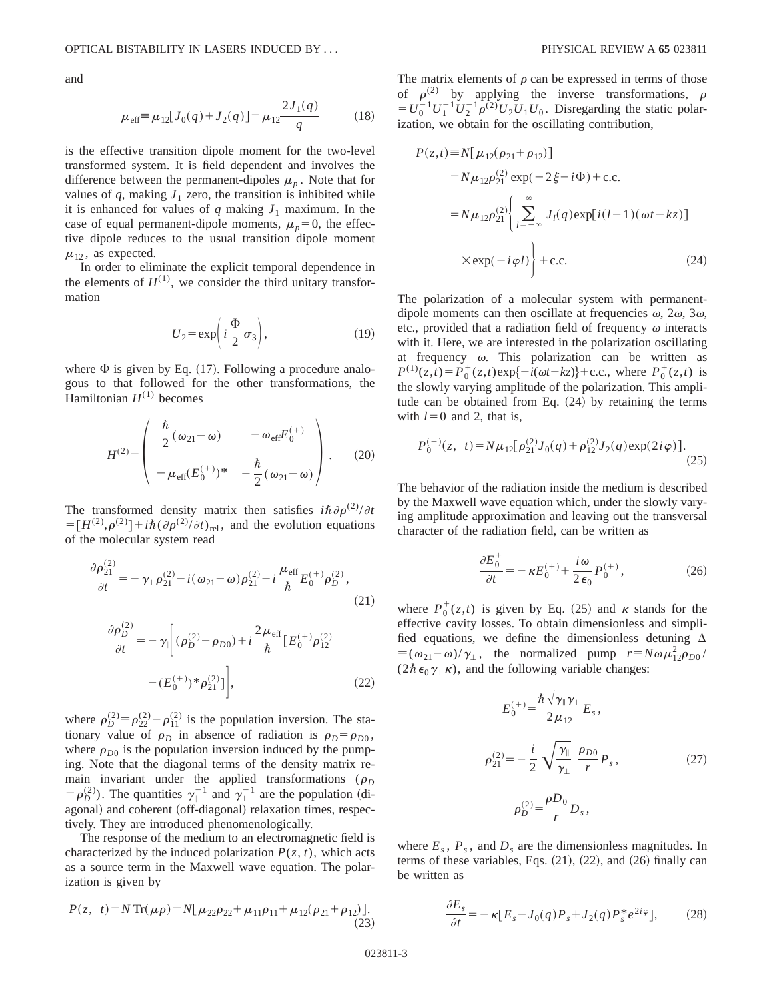and

$$
\mu_{\text{eff}} \equiv \mu_{12} [J_0(q) + J_2(q)] = \mu_{12} \frac{2J_1(q)}{q} \tag{18}
$$

is the effective transition dipole moment for the two-level transformed system. It is field dependent and involves the difference between the permanent-dipoles  $\mu_p$ . Note that for values of  $q$ , making  $J_1$  zero, the transition is inhibited while it is enhanced for values of  $q$  making  $J_1$  maximum. In the case of equal permanent-dipole moments,  $\mu_p=0$ , the effective dipole reduces to the usual transition dipole moment  $\mu_{12}$ , as expected.

In order to eliminate the explicit temporal dependence in the elements of  $H^{(1)}$ , we consider the third unitary transformation

$$
U_2 = \exp\left(i\frac{\Phi}{2}\sigma_3\right),\tag{19}
$$

where  $\Phi$  is given by Eq. (17). Following a procedure analogous to that followed for the other transformations, the Hamiltonian  $H^{(1)}$  becomes

$$
H^{(2)} = \begin{pmatrix} \frac{\hbar}{2} (\omega_{21} - \omega) & -\omega_{\text{eff}} E_0^{(+)} \\ -\mu_{\text{eff}} (E_0^{(+)})^* & -\frac{\hbar}{2} (\omega_{21} - \omega) \end{pmatrix} .
$$
 (20)

The transformed density matrix then satisfies  $i\hbar \partial \rho^{(2)}/\partial t$  $= [H^{(2)}, \rho^{(2)}] + i\hbar (\partial \rho^{(2)}/\partial t)_{\text{rel}}$ , and the evolution equations of the molecular system read

$$
\frac{\partial \rho_{21}^{(2)}}{\partial t} = -\gamma_{\perp} \rho_{21}^{(2)} - i(\omega_{21} - \omega) \rho_{21}^{(2)} - i \frac{\mu_{\text{eff}}}{\hbar} E_0^{(+)} \rho_D^{(2)},\tag{21}
$$

$$
\frac{\partial \rho_D^{(2)}}{\partial t} = -\gamma_{\parallel} \left[ (\rho_D^{(2)} - \rho_{D0}) + i \frac{2\mu_{\text{eff}}}{\hbar} \left[ E_0^{(+)} \rho_{12}^{(2)} - (E_0^{(+)})^* \rho_{21}^{(2)} \right] \right],
$$
\n(22)

where  $\rho_D^{(2)} \equiv \rho_{22}^{(2)} - \rho_{11}^{(2)}$  is the population inversion. The stationary value of  $\rho_D$  in absence of radiation is  $\rho_D = \rho_{D0}$ , where  $\rho_{D0}$  is the population inversion induced by the pumping. Note that the diagonal terms of the density matrix remain invariant under the applied transformations ( $\rho_D$  $= \rho_D^{(2)}$ ). The quantities  $\gamma_{\parallel}^{-1}$  and  $\gamma_{\perp}^{-1}$  are the population (diagonal) and coherent (off-diagonal) relaxation times, respectively. They are introduced phenomenologically.

The response of the medium to an electromagnetic field is characterized by the induced polarization  $P(z, t)$ , which acts as a source term in the Maxwell wave equation. The polarization is given by

$$
P(z, t) = N \operatorname{Tr}(\mu \rho) = N[\mu_{22} \rho_{22} + \mu_{11} \rho_{11} + \mu_{12} (\rho_{21} + \rho_{12})].
$$
\n(23)

The matrix elements of  $\rho$  can be expressed in terms of those of  $\rho^{(2)}$  by applying the inverse transformations,  $\rho$  $= U_0^{-1} U_1^{-1} U_2^{-1} \rho^{(2)} U_2 U_1 U_0$ . Disregarding the static polarization, we obtain for the oscillating contribution,

$$
P(z,t) \equiv N[\mu_{12}(\rho_{21} + \rho_{12})]
$$
  
=  $N\mu_{12}\rho_{21}^{(2)} \exp(-2\xi - i\Phi) + \text{c.c.}$   
=  $N\mu_{12}\rho_{21}^{(2)} \left\{ \sum_{l=-\infty}^{\infty} J_l(q) \exp[i(l-1)(\omega t - kz)] \right\}$   
 $\times \exp(-i\varphi l) + \text{c.c.}$  (24)

The polarization of a molecular system with permanentdipole moments can then oscillate at frequencies  $\omega$ ,  $2\omega$ ,  $3\omega$ , etc., provided that a radiation field of frequency  $\omega$  interacts with it. Here, we are interested in the polarization oscillating at frequency  $\omega$ . This polarization can be written as  $P^{(1)}(z,t) = P_0^+(z,t) \exp\{-i(\omega t - kz)\} + \text{c.c., where } P_0^+(z,t)$  is the slowly varying amplitude of the polarization. This amplitude can be obtained from Eq.  $(24)$  by retaining the terms with  $l=0$  and 2, that is,

$$
P_0^{(+)}(z, t) = N\mu_{12}[\rho_{21}^{(2)}J_0(q) + \rho_{12}^{(2)}J_2(q)\exp(2i\varphi)].
$$
\n(25)

The behavior of the radiation inside the medium is described by the Maxwell wave equation which, under the slowly varying amplitude approximation and leaving out the transversal character of the radiation field, can be written as

$$
\frac{\partial E_0^+}{\partial t} = -\kappa E_0^{(+)} + \frac{i\omega}{2\epsilon_0} P_0^{(+)},\tag{26}
$$

where  $P_0^+(z,t)$  is given by Eq. (25) and  $\kappa$  stands for the effective cavity losses. To obtain dimensionless and simplified equations, we define the dimensionless detuning  $\Delta$  $\equiv (\omega_{21} - \omega)/\gamma_{\perp}$ , the normalized pump  $r = N\omega \mu_{12}^2 \rho_{D0}$  $(2\hbar \epsilon_0 \gamma_+\kappa)$ , and the following variable changes:

$$
E_0^{(+)} = \frac{\hbar \sqrt{\gamma_{\parallel} \gamma_{\perp}}}{2 \mu_{12}} E_s,
$$
  

$$
\rho_{21}^{(2)} = -\frac{i}{2} \sqrt{\frac{\gamma_{\parallel}}{\gamma_{\perp}}} \frac{\rho_{D0}}{r} P_s,
$$
 (27)  

$$
\rho_D^{(2)} = \frac{\rho D_0}{r} D_s,
$$

where  $E_s$ ,  $P_s$ , and  $D_s$  are the dimensionless magnitudes. In terms of these variables, Eqs.  $(21)$ ,  $(22)$ , and  $(26)$  finally can be written as

$$
\frac{\partial E_s}{\partial t} = -\kappa [E_s - J_0(q) P_s + J_2(q) P_s^* e^{2i\varphi}],\tag{28}
$$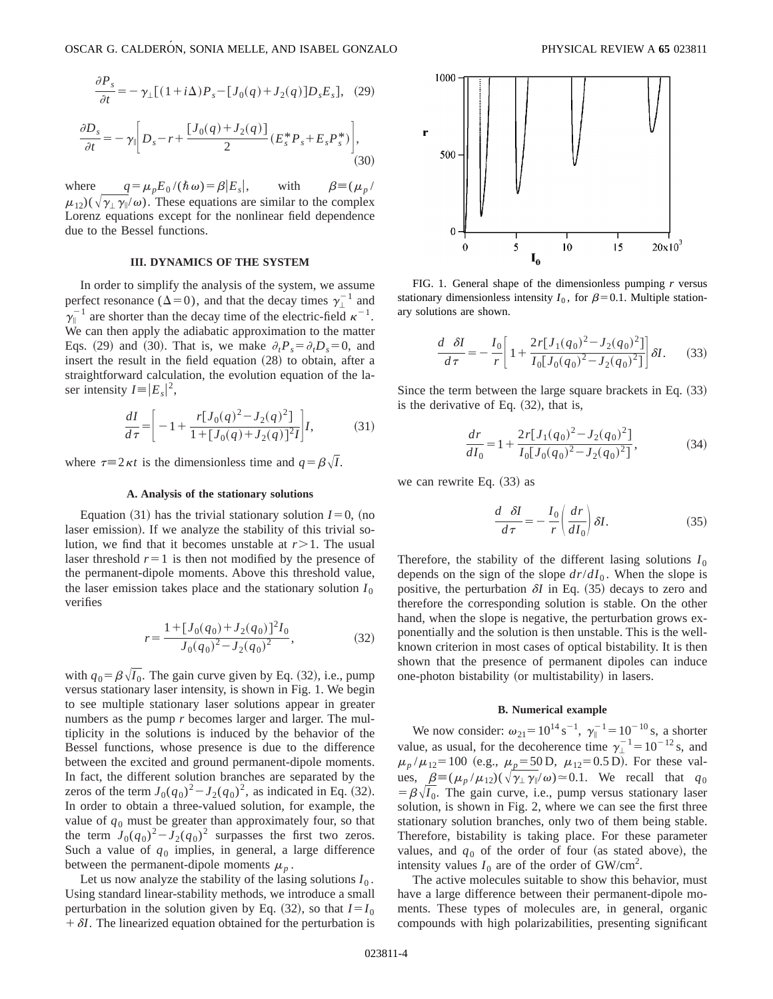$$
\frac{\partial P_s}{\partial t} = -\gamma_\perp [(1+i\Delta)P_s - [J_0(q) + J_2(q)]D_s E_s], \quad (29)
$$

$$
\frac{\partial D_s}{\partial t} = -\gamma_{\parallel} \left[ D_s - r + \frac{[J_0(q) + J_2(q)]}{2} (E_s^* P_s + E_s P_s^*) \right],
$$
\n(30)

where  $q = \mu_p E_0 /(\hbar \omega) = \beta |E_s|$ , with  $\beta = (\mu_p / \lambda)$  $\mu_{12}$ )( $\sqrt{\gamma_1 \gamma_2/\omega_2}$ ). These equations are similar to the complex Lorenz equations except for the nonlinear field dependence due to the Bessel functions.

### **III. DYNAMICS OF THE SYSTEM**

In order to simplify the analysis of the system, we assume perfect resonance ( $\Delta=0$ ), and that the decay times  $\gamma_{\perp}^{-1}$  and  $\gamma_{\parallel}^{-1}$  are shorter than the decay time of the electric-field  $\kappa^{-1}$ . We can then apply the adiabatic approximation to the matter Eqs. (29) and (30). That is, we make  $\partial_t P_s = \partial_t D_s = 0$ , and insert the result in the field equation  $(28)$  to obtain, after a straightforward calculation, the evolution equation of the laser intensity  $I = |E_s|^2$ ,

$$
\frac{dI}{d\tau} = \left[ -1 + \frac{r[J_0(q)^2 - J_2(q)^2]}{1 + [J_0(q) + J_2(q)]^2 I} \right] I,\tag{31}
$$

where  $\tau=2 \kappa t$  is the dimensionless time and  $q = \beta \sqrt{I}$ .

#### **A. Analysis of the stationary solutions**

Equation  $(31)$  has the trivial stationary solution  $I=0$ , (no laser emission). If we analyze the stability of this trivial solution, we find that it becomes unstable at  $r > 1$ . The usual laser threshold  $r=1$  is then not modified by the presence of the permanent-dipole moments. Above this threshold value, the laser emission takes place and the stationary solution  $I_0$ verifies

$$
r = \frac{1 + [J_0(q_0) + J_2(q_0)]^2 I_0}{J_0(q_0)^2 - J_2(q_0)^2},
$$
\n(32)

with  $q_0 = \beta \sqrt{I_0}$ . The gain curve given by Eq. (32), i.e., pump versus stationary laser intensity, is shown in Fig. 1. We begin to see multiple stationary laser solutions appear in greater numbers as the pump *r* becomes larger and larger. The multiplicity in the solutions is induced by the behavior of the Bessel functions, whose presence is due to the difference between the excited and ground permanent-dipole moments. In fact, the different solution branches are separated by the zeros of the term  $J_0(q_0)^2 - J_2(q_0)^2$ , as indicated in Eq. (32). In order to obtain a three-valued solution, for example, the value of  $q_0$  must be greater than approximately four, so that the term  $J_0(q_0)^2 - J_2(q_0)^2$  surpasses the first two zeros. Such a value of  $q_0$  implies, in general, a large difference between the permanent-dipole moments  $\mu_n$ .

Let us now analyze the stability of the lasing solutions  $I_0$ . Using standard linear-stability methods, we introduce a small perturbation in the solution given by Eq.  $(32)$ , so that  $I=I_0$  $\theta + \delta I$ . The linearized equation obtained for the perturbation is



FIG. 1. General shape of the dimensionless pumping *r* versus stationary dimensionless intensity  $I_0$ , for  $\beta=0.1$ . Multiple stationary solutions are shown.

$$
\frac{d}{d\tau}\frac{\delta I}{d\tau} = -\frac{I_0}{r} \left[ 1 + \frac{2r[J_1(q_0)^2 - J_2(q_0)^2]}{I_0[J_0(q_0)^2 - J_2(q_0)^2]} \right] \delta I. \tag{33}
$$

Since the term between the large square brackets in Eq.  $(33)$ is the derivative of Eq.  $(32)$ , that is,

$$
\frac{dr}{dI_0} = 1 + \frac{2r[J_1(q_0)^2 - J_2(q_0)^2]}{I_0[J_0(q_0)^2 - J_2(q_0)^2]},
$$
\n(34)

we can rewrite Eq.  $(33)$  as

$$
\frac{d}{d\tau}\frac{\delta I}{d\tau} = -\frac{I_0}{r} \left( \frac{dr}{dI_0} \right) \delta I.
$$
 (35)

Therefore, the stability of the different lasing solutions  $I_0$ depends on the sign of the slope  $dr/dI_0$ . When the slope is positive, the perturbation  $\delta I$  in Eq.  $(35)$  decays to zero and therefore the corresponding solution is stable. On the other hand, when the slope is negative, the perturbation grows exponentially and the solution is then unstable. This is the wellknown criterion in most cases of optical bistability. It is then shown that the presence of permanent dipoles can induce one-photon bistability (or multistability) in lasers.

### **B. Numerical example**

We now consider:  $\omega_{21} = 10^{14} \text{ s}^{-1}$ ,  $\gamma_{\parallel}^{-1} = 10^{-10} \text{ s}$ , a shorter value, as usual, for the decoherence time  $\gamma_1^{-1} = 10^{-12}$  s, and  $\mu_p/\mu_{12}$ =100 (e.g.,  $\mu_p$ =50 D,  $\mu_{12}$ =0.5 D). For these values,  $\beta = (\mu_p / \mu_{12})(\sqrt{\gamma_\perp \gamma_\parallel}/\omega) \approx 0.1$ . We recall that  $q_0$  $= \beta \sqrt{I_0}$ . The gain curve, i.e., pump versus stationary laser solution, is shown in Fig. 2, where we can see the first three stationary solution branches, only two of them being stable. Therefore, bistability is taking place. For these parameter values, and  $q_0$  of the order of four (as stated above), the intensity values  $I_0$  are of the order of GW/cm<sup>2</sup>.

The active molecules suitable to show this behavior, must have a large difference between their permanent-dipole moments. These types of molecules are, in general, organic compounds with high polarizabilities, presenting significant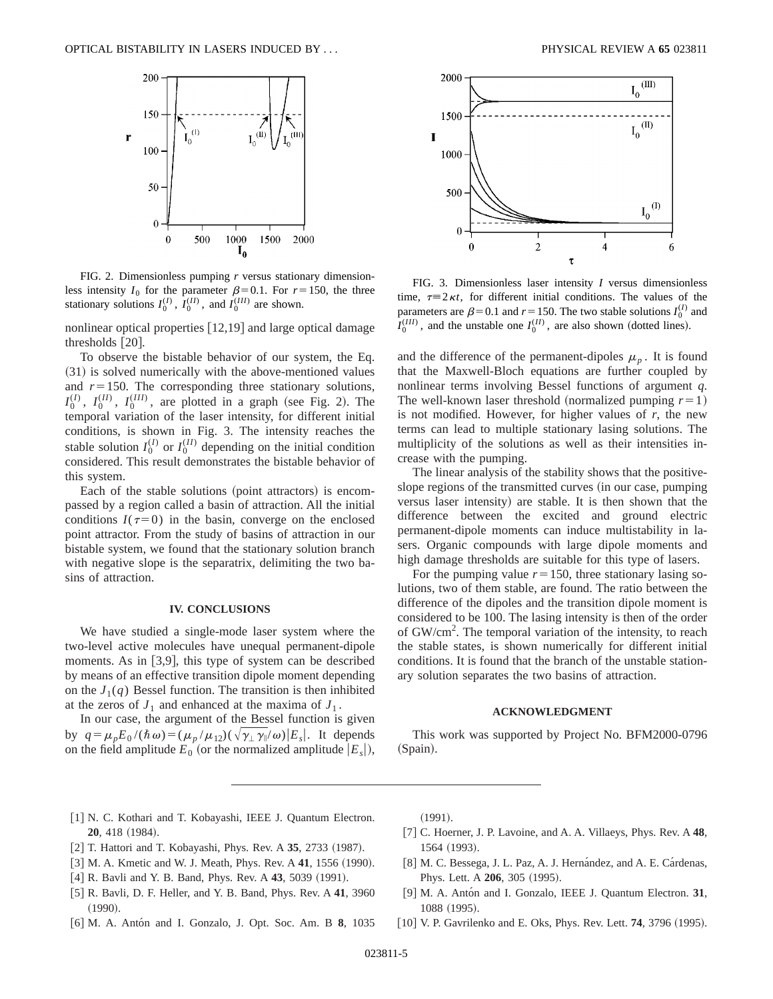

FIG. 2. Dimensionless pumping *r* versus stationary dimensionless intensity  $I_0$  for the parameter  $\beta = 0.1$ . For  $r = 150$ , the three stationary solutions  $I_0^{(I)}$ ,  $I_0^{(II)}$ , and  $I_0^{(III)}$  are shown.

nonlinear optical properties  $[12,19]$  and large optical damage thresholds  $[20]$ .

To observe the bistable behavior of our system, the Eq.  $(31)$  is solved numerically with the above-mentioned values and  $r=150$ . The corresponding three stationary solutions,  $I_0^{(I)}$ ,  $I_0^{(II)}$ ,  $I_0^{(III)}$ , are plotted in a graph (see Fig. 2). The temporal variation of the laser intensity, for different initial conditions, is shown in Fig. 3. The intensity reaches the stable solution  $I_0^{(I)}$  or  $I_0^{(II)}$  depending on the initial condition considered. This result demonstrates the bistable behavior of this system.

Each of the stable solutions (point attractors) is encompassed by a region called a basin of attraction. All the initial conditions  $I(\tau=0)$  in the basin, converge on the enclosed point attractor. From the study of basins of attraction in our bistable system, we found that the stationary solution branch with negative slope is the separatrix, delimiting the two basins of attraction.

### **IV. CONCLUSIONS**

We have studied a single-mode laser system where the two-level active molecules have unequal permanent-dipole moments. As in  $[3,9]$ , this type of system can be described by means of an effective transition dipole moment depending on the  $J_1(q)$  Bessel function. The transition is then inhibited at the zeros of  $J_1$  and enhanced at the maxima of  $J_1$ .

In our case, the argument of the Bessel function is given by  $q = \mu_p E_0 /(\hbar \omega) = (\mu_p / \mu_{12})(\sqrt{\gamma_\perp \gamma_\parallel / \omega})|E_s|$ . It depends on the field amplitude  $E_0$  (or the normalized amplitude  $|E_s|$ ),



FIG. 3. Dimensionless laser intensity *I* versus dimensionless time,  $\tau=2\kappa t$ , for different initial conditions. The values of the parameters are  $\beta$ =0.1 and *r* = 150. The two stable solutions *I*<sup>(*I*)</sup> and  $I_0^{(III)}$ , and the unstable one  $I_0^{(II)}$ , are also shown (dotted lines).

and the difference of the permanent-dipoles  $\mu_p$ . It is found that the Maxwell-Bloch equations are further coupled by nonlinear terms involving Bessel functions of argument *q*. The well-known laser threshold (normalized pumping  $r=1$ ) is not modified. However, for higher values of *r*, the new terms can lead to multiple stationary lasing solutions. The multiplicity of the solutions as well as their intensities increase with the pumping.

The linear analysis of the stability shows that the positiveslope regions of the transmitted curves (in our case, pumping versus laser intensity) are stable. It is then shown that the difference between the excited and ground electric permanent-dipole moments can induce multistability in lasers. Organic compounds with large dipole moments and high damage thresholds are suitable for this type of lasers.

For the pumping value  $r=150$ , three stationary lasing solutions, two of them stable, are found. The ratio between the difference of the dipoles and the transition dipole moment is considered to be 100. The lasing intensity is then of the order of GW/cm<sup>2</sup>. The temporal variation of the intensity, to reach the stable states, is shown numerically for different initial conditions. It is found that the branch of the unstable stationary solution separates the two basins of attraction.

### **ACKNOWLEDGMENT**

This work was supported by Project No. BFM2000-0796 (Spain).

- [1] N. C. Kothari and T. Kobayashi, IEEE J. Quantum Electron. **20**, 418 (1984).
- [2] T. Hattori and T. Kobayashi, Phys. Rev. A 35, 2733 (1987).
- [3] M. A. Kmetic and W. J. Meath, Phys. Rev. A 41, 1556 (1990).
- [4] R. Bavli and Y. B. Band, Phys. Rev. A 43, 5039 (1991).
- [5] R. Bavli, D. F. Heller, and Y. B. Band, Phys. Rev. A 41, 3960  $(1990).$
- @6# M. A. Anto´n and I. Gonzalo, J. Opt. Soc. Am. B **8**, 1035

 $(1991).$ 

- @7# C. Hoerner, J. P. Lavoine, and A. A. Villaeys, Phys. Rev. A **48**, 1564 (1993).
- [8] M. C. Bessega, J. L. Paz, A. J. Hernández, and A. E. Cárdenas, Phys. Lett. A **206**, 305 (1995).
- [9] M. A. Antón and I. Gonzalo, IEEE J. Quantum Electron. 31, 1088 (1995).
- [10] V. P. Gavrilenko and E. Oks, Phys. Rev. Lett. **74**, 3796 (1995).